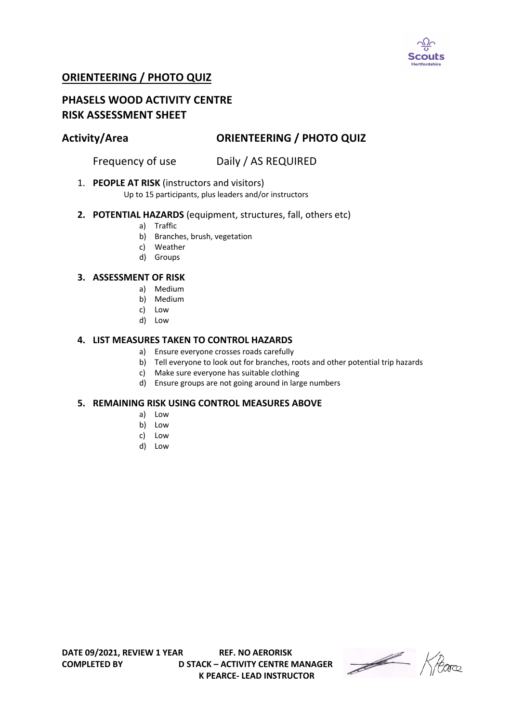

# **ORIENTEERING / PHOTO QUIZ**

# **PHASELS WOOD ACTIVITY CENTRE RISK ASSESSMENT SHEET**

# **Activity/Area ORIENTEERING / PHOTO QUIZ**

Frequency of use Daily / AS REQUIRED

1. **PEOPLE AT RISK** (instructors and visitors)

Up to 15 participants, plus leaders and/or instructors

## **2. POTENTIAL HAZARDS** (equipment, structures, fall, others etc)

- a) Traffic
- b) Branches, brush, vegetation
- c) Weather
- d) Groups

### **3. ASSESSMENT OF RISK**

- a) Medium
- b) Medium
- c) Low
- d) Low

## **4. LIST MEASURES TAKEN TO CONTROL HAZARDS**

- a) Ensure everyone crosses roads carefully
- b) Tell everyone to look out for branches, roots and other potential trip hazards
- c) Make sure everyone has suitable clothing
- d) Ensure groups are not going around in large numbers

### **5. REMAINING RISK USING CONTROL MEASURES ABOVE**

- a) Low
- b) Low
- c) Low
- d) Low

**COMPLETED BY D STACK – ACTIVITY CENTRE MANAGER K PEARCE- LEAD INSTRUCTOR** 

Heare